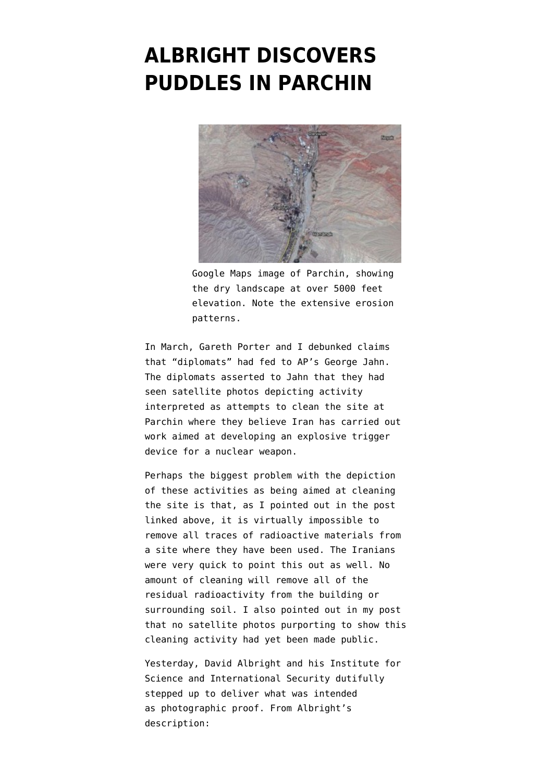## **[ALBRIGHT DISCOVERS](https://www.emptywheel.net/2012/05/09/albright-discovers-puddles-in-parchin/) [PUDDLES IN PARCHIN](https://www.emptywheel.net/2012/05/09/albright-discovers-puddles-in-parchin/)**



Google Maps image of Parchin, showing the dry landscape at over 5000 feet elevation. Note the extensive erosion patterns.

In March, [Gareth Porter](http://ipsnews.net/news.asp?idnews=107036) and [I d](http://www.emptywheel.net/2012/03/13/rumored-satellite-imagery-of-parchin-clean-up-fails-to-materialize-claim-debunked/)ebunked claims that "diplomats" had fed to [AP's George Jahn](http://www.usatoday.com/news/world/story/2012-03-07/iran-nuclear-spy-clean-up/53400694/1). The diplomats asserted to Jahn that they had seen satellite photos depicting activity interpreted as attempts to clean the site at Parchin where they believe Iran has carried out work aimed at developing an explosive trigger device for a nuclear weapon.

Perhaps the biggest problem with the depiction of these activities as being aimed at cleaning the site is that, as I pointed out in the post linked above, it is virtually impossible to remove all traces of radioactive materials from a site where they have been used. The Iranians were very quick to point this out as well. No amount of cleaning will remove all of the residual radioactivity from the building or surrounding soil. I also pointed out in my post that no satellite photos purporting to show this cleaning activity had yet been made public.

Yesterday, David Albright and his Institute for Science and International Security dutifully stepped up to deliver what was intended as [photographic proof](http://isis-online.org/isis-reports/detail/new-satellite-image-shows-activity-at-parchin-site-in-iran/). From Albright's description: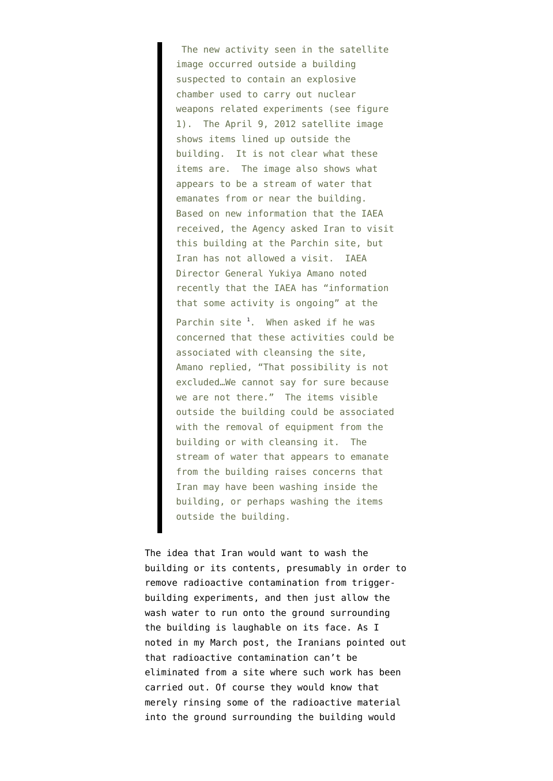The new activity seen in the satellite image occurred outside a building suspected to contain an explosive chamber used to carry out nuclear weapons related experiments (see figure 1). The April 9, 2012 satellite image shows items lined up outside the building. It is not clear what these items are. The image also shows what appears to be a stream of water that emanates from or near the building. Based on new information that the IAEA received, the Agency asked Iran to visit this building at the Parchin site, but Iran has not allowed a visit. IAEA Director General Yukiya Amano noted recently that the IAEA has "information that some activity is ongoing" at the Parchin site <sup>[1](http://isis-online.org/isis-reports/detail/new-satellite-image-shows-activity-at-parchin-site-in-iran/#1)</sup>. When asked if he was concerned that these activities could be associated with cleansing the site, Amano replied, "That possibility is not excluded…We cannot say for sure because we are not there." The items visible outside the building could be associated with the removal of equipment from the building or with cleansing it. The stream of water that appears to emanate from the building raises concerns that Iran may have been washing inside the building, or perhaps washing the items outside the building.

The idea that Iran would want to wash the building or its contents, presumably in order to remove radioactive contamination from triggerbuilding experiments, and then just allow the wash water to run onto the ground surrounding the building is laughable on its face. As I noted in my March post, the Iranians pointed out that radioactive contamination can't be eliminated from a site where such work has been carried out. Of course they would know that merely rinsing some of the radioactive material into the ground surrounding the building would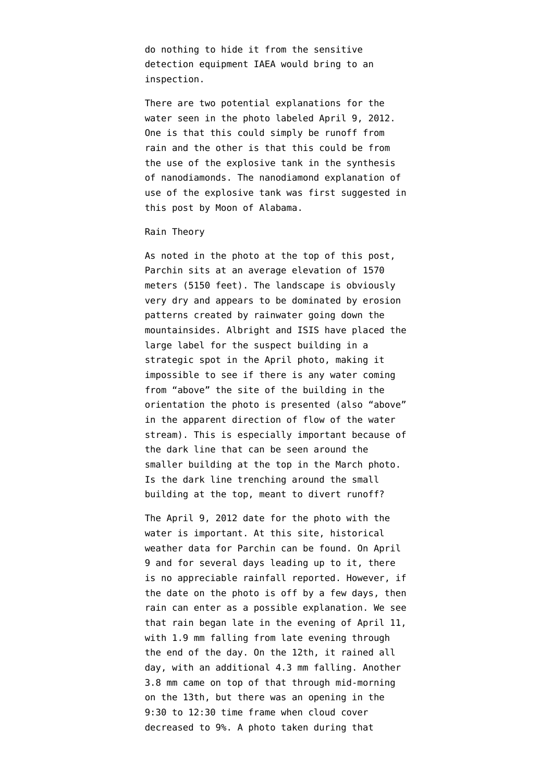do nothing to hide it from the sensitive detection equipment IAEA would bring to an inspection.

There are two potential explanations for the water seen in the photo labeled April 9, 2012. One is that this could simply be runoff from rain and the other is that this could be from the use of the explosive tank in the synthesis of nanodiamonds. The nanodiamond explanation of use of the explosive tank was first suggested [in](http://www.moonofalabama.org/2011/11/on-nuclear-iran-allegations-nanodiamonds-aint-nuclear-bombs.html) [this post](http://www.moonofalabama.org/2011/11/on-nuclear-iran-allegations-nanodiamonds-aint-nuclear-bombs.html) by Moon of Alabama.

## Rain Theory

As noted in the photo at the top of this post, Parchin sits at an average elevation of [1570](http://www.satelliteview.co/?lid=6652972_IR_VOCH_07&place=Parchin-Iran) meters (5150 feet). The landscape is obviously very dry and appears to be dominated by erosion patterns created by rainwater going down the mountainsides. Albright and ISIS have placed the large label for the suspect building in a strategic spot in the April photo, making it impossible to see if there is any water coming from "above" the site of the building in the orientation the photo is presented (also "above" in the apparent direction of flow of the water stream). This is especially important because of the dark line that can be seen around the smaller building at the top in the March photo. Is the dark line trenching around the small building at the top, meant to divert runoff?

The April 9, 2012 date for the photo with the water is important. At [this site,](http://www.worldweatheronline.com/parchin-weather/sistan-va-baluchestan/ir.aspx?day=21) historical weather data for Parchin can be found. On April 9 and for several days leading up to it, there is no appreciable rainfall reported. However, if the date on the photo is off by a few days, then rain can enter as a possible explanation. We see that rain began late in the evening of April 11, with 1.9 mm falling from late evening through the end of the day. On the 12th, it rained all day, with an additional 4.3 mm falling. Another 3.8 mm came on top of that through mid-morning on the 13th, but there was an opening in the 9:30 to 12:30 time frame when cloud cover decreased to 9%. A photo taken during that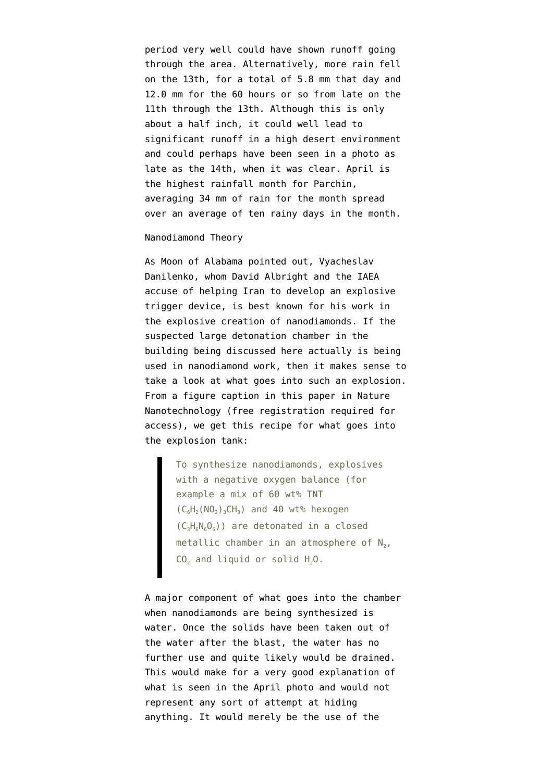period very well could have shown runoff going through the area. Alternatively, more rain fell on the 13th, for a total of 5.8 mm that day and 12.0 mm for the 60 hours or so from late on the 11th through the 13th. Although this is only about a half inch, it could well lead to significant runoff in a high desert environment and could perhaps have been seen in a photo as late as the 14th, when it was clear. April is the highest rainfall month for Parchin, [averaging 34 mm](http://www.worldweatheronline.com/Parchin-weather-averages/Ardabil/IR.aspx) of rain for the month spread over an average of ten rainy days in the month.

## Nanodiamond Theory

As Moon of Alabama [pointed out,](http://www.moonofalabama.org/2011/11/on-nuclear-iran-allegations-nanodiamonds-aint-nuclear-bombs.html) Vyacheslav Danilenko, whom David Albright and the IAEA accuse of helping Iran to develop an explosive trigger device, is best known for his work in the explosive creation of nanodiamonds. If the suspected large detonation chamber in the building being discussed here actually is being used in nanodiamond work, then it makes sense to take a look at what goes into such an explosion. From a figure caption in [this paper](http://www.nature.com/nnano/journal/v7/n1/full/nnano.2011.209.html?WT.ec_id=NNANO-201201#/access) in Nature Nanotechnology (free registration required for access), we get this recipe for what goes into the explosion tank:

> To synthesize nanodiamonds, explosives with a negative oxygen balance (for example a mix of 60 wt% TNT  $(C_6H_2(NO_2)_3CH_3)$  and 40 wt% hexogen  $(C_3H_6N_6O_6)$ ) are detonated in a closed metallic chamber in an atmosphere of  $\mathsf{N}_2$ ,  $CO<sub>2</sub>$  and liquid or solid  $H<sub>2</sub>O$ .

A major component of what goes into the chamber when nanodiamonds are being synthesized is water. Once the solids have been taken out of the water after the blast, the water has no further use and quite likely would be drained. This would make for a very good explanation of what is seen in the April photo and would not represent any sort of attempt at hiding anything. It would merely be the use of the